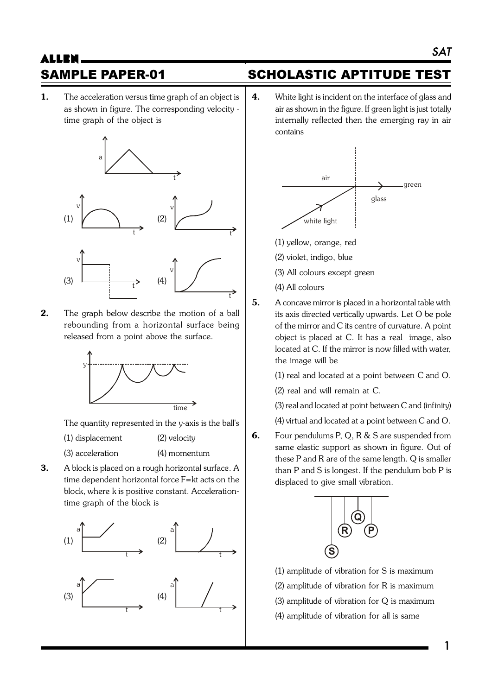# SAT ALLEN

1. The acceleration versus time graph of an object is as shown in figure. The corresponding velocity time graph of the object is



2. The graph below describe the motion of a ball rebounding from a horizontal surface being released from a point above the surface.



The quantity represented in the y-axis is the ball's

- (1) displacement (2) velocity
- (3) acceleration (4) momentum
- 3. A block is placed on a rough horizontal surface. A time dependent horizontal force F=kt acts on the
- block, where k is positive constant. Accelerationtime graph of the block is



### SAMPLE PAPER-01 SCHOLASTIC APTITUDE TEST

4. White light is incident on the interface of glass and air as shown in the figure. If green light is just totally internally reflected then the emerging ray in air contains



- (1) yellow, orange, red
- (2) violet, indigo, blue
- (3) All colours except green
- (4) All colours
- 5. A concave mirror is placed in a horizontal table with its axis directed vertically upwards. Let O be pole of the mirror and C its centre of curvature. A point object is placed at C. It has a real image, also located at C. If the mirror is now filled with water, the image will be
	- (1) real and located at a point between C and O.
	- (2) real and will remain at C.
	- (3) real and located at point between C and (infinity)
	- (4) virtual and located at a point between C and O.
- **6.** Four pendulums P, Q, R & S are suspended from same elastic support as shown in figure. Out of these P and R are of the same length. Q is smaller than P and S is longest. If the pendulum bob P is displaced to give small vibration.



- (1) amplitude of vibration for S is maximum
- (2) amplitude of vibration for R is maximum
- (3) amplitude of vibration for Q is maximum
- (4) amplitude of vibration for all is same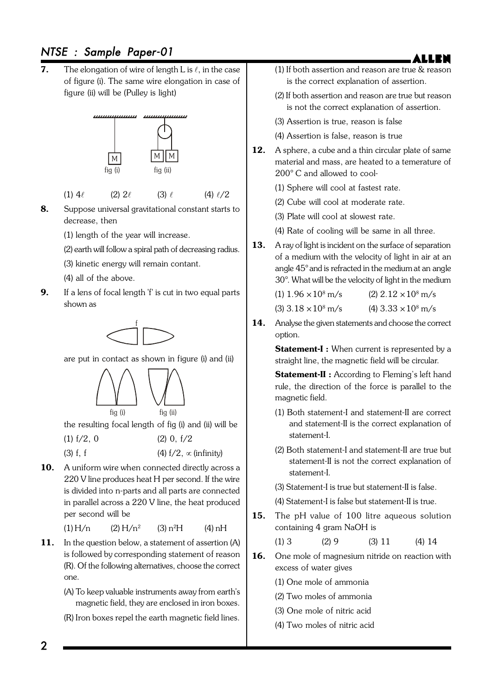### NTSE : Sample Paper-01

**7.** The elongation of wire of length L is  $\ell$ , in the case of figure (i). The same wire elongation in case of figure (ii) will be (Pulley is light)



| $(1) 4\ell$ | $(2) 2\ell$ | $(3)$ $\ell$ | (4) $\ell/2$ |
|-------------|-------------|--------------|--------------|
|             |             |              |              |

- 8. Suppose universal gravitational constant starts to decrease, then
	- (1) length of the year will increase.

(2) earth will follow a spiral path of decreasing radius.

- (3) kinetic energy will remain contant.
- (4) all of the above.
- 9. If a lens of focal length 'f' is cut in two equal parts shown as



are put in contact as shown in figure (i) and (ii)



the resulting focal length of fig (i) and (ii) will be

| $(1)$ f/2, 0 | $(2)$ 0, $f/2$ |
|--------------|----------------|
| $\sim$       | $\cdots$       |

- (3) f, f (4)  $\frac{1}{2} \propto \text{ (infinity)}$
- 10. A uniform wire when connected directly across a 220 V line produces heat H per second. If the wire is divided into n-parts and all parts are connected in parallel across a 220 V line, the heat produced per second will be

 $(1) H/n$   $(2) H/n^2$  $(3)$  n<sup>2</sup>H (4) nH

- 11. In the question below, a statement of assertion (A) is followed by corresponding statement of reason (R). Of the following alternatives, choose the correct one.
	- (A) To keep valuable instruments away from earth's magnetic field, they are enclosed in iron boxes.
	- (R) Iron boxes repel the earth magnetic field lines.

(1) If both assertion and reason are true & reason is the correct explanation of assertion.

ALLEN

- (2) If both assertion and reason are true but reason is not the correct explanation of assertion.
- (3) Assertion is true, reason is false
- (4) Assertion is false, reason is true
- 12. A sphere, a cube and a thin circular plate of same material and mass, are heated to a temerature of 200° C and allowed to cool-
	- (1) Sphere will cool at fastest rate.
	- (2) Cube will cool at moderate rate.
	- (3) Plate will cool at slowest rate.
	- (4) Rate of cooling will be same in all three.
- 13. A ray of light is incident on the surface of separation of a medium with the velocity of light in air at an angle 45° and is refracted in the medium at an angle 30°. What will be the velocity of light in the medium

(1) 
$$
1.96 \times 10^8
$$
 m/s (2)  $2.12 \times 10^8$  m/s

- $(3)$  3.18  $\times$  10<sup>8</sup> m/s  $\mu$  m/s (4) 3.33  $\times 10^8$  m/s
- 14. Analyse the given statements and choose the correct option.

**Statement-I** : When current is represented by a straight line, the magnetic field will be circular.

Statement-II : According to Fleming's left hand rule, the direction of the force is parallel to the magnetic field.

- (1) Both statement-I and statement-II are correct and statement-II is the correct explanation of statement-I.
- (2) Both statement-I and statement-II are true but statement-II is not the correct explanation of statement-I.
- (3) Statement-I is true but statement-II is false.
- (4) Statement-I is false but statement-II is true.
- 15. The pH value of 100 litre aqueous solution containing 4 gram NaOH is
	- $(1) 3$   $(2) 9$   $(3) 11$   $(4) 14$
- 16. One mole of magnesium nitride on reaction with excess of water gives
	- (1) One mole of ammonia
	- (2) Two moles of ammonia
	- (3) One mole of nitric acid
	- (4) Two moles of nitric acid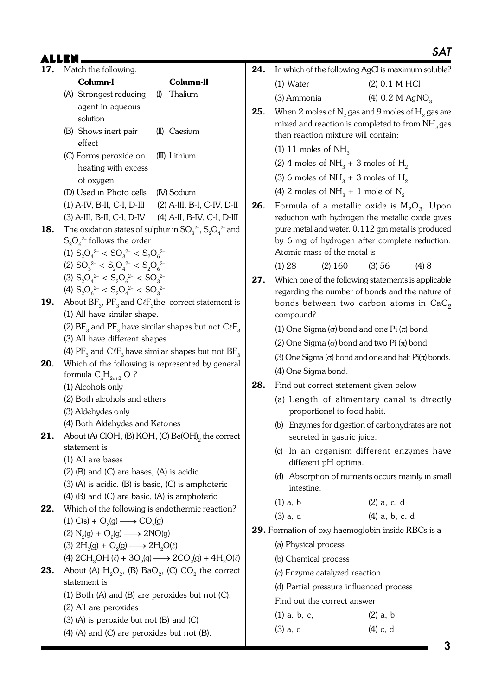|     |                                                                                   |                                                                                             |     |                                                                   |                                                           |                   | 2AI                                                    |
|-----|-----------------------------------------------------------------------------------|---------------------------------------------------------------------------------------------|-----|-------------------------------------------------------------------|-----------------------------------------------------------|-------------------|--------------------------------------------------------|
| 17. | Match the following.                                                              |                                                                                             | 24. |                                                                   |                                                           |                   | In which of the following AgCl is maximum soluble?     |
|     | <b>Column-I</b>                                                                   | Column-II                                                                                   |     | $(1)$ Water                                                       |                                                           | (2) 0.1 M HCl     |                                                        |
|     | (A) Strongest reducing                                                            | Thalium<br>(I)                                                                              |     | (3) Ammonia                                                       |                                                           | (4) $0.2 M AgNO3$ |                                                        |
|     | agent in aqueous                                                                  |                                                                                             | 25. |                                                                   |                                                           |                   | When 2 moles of $N_2$ gas and 9 moles of $H_2$ gas are |
|     | solution                                                                          |                                                                                             |     |                                                                   |                                                           |                   | mixed and reaction is completed to from $NH3$ gas      |
|     | (B) Shows inert pair                                                              | Caesium<br>(II)                                                                             |     |                                                                   | then reaction mixture will contain:                       |                   |                                                        |
|     | effect                                                                            |                                                                                             |     | (1) 11 moles of $NH3$                                             |                                                           |                   |                                                        |
|     | (C) Forms peroxide on                                                             | (III) Lithium                                                                               |     |                                                                   | (2) 4 moles of $NH3 + 3$ moles of $H2$                    |                   |                                                        |
|     | heating with excess                                                               |                                                                                             |     |                                                                   | (3) 6 moles of $NH_3 + 3$ moles of $H_2$                  |                   |                                                        |
|     | of oxygen<br>(D) Used in Photo cells                                              | (IV) Sodium                                                                                 |     |                                                                   | (4) 2 moles of $NH3 + 1$ mole of N <sub>2</sub>           |                   |                                                        |
|     | $(1)$ A-IV, B-II, C-I, D-III                                                      | $(2)$ A-III, B-I, C-IV, D-II                                                                | 26. |                                                                   |                                                           |                   | Formula of a metallic oxide is $M_2O_3$ . Upon         |
|     | (3) A-III, B-II, C-I, D-IV                                                        | $(4)$ A-II, B-IV, C-I, D-III                                                                |     |                                                                   |                                                           |                   | reduction with hydrogen the metallic oxide gives       |
| 18. |                                                                                   | The oxidation states of sulphur in $SO_3^{2-}$ , $S_2O_4^{2-}$ and                          |     |                                                                   |                                                           |                   | pure metal and water. 0.112 gm metal is produced       |
|     | $S_2O_6^{2-}$ follows the order                                                   |                                                                                             |     |                                                                   |                                                           |                   | by 6 mg of hydrogen after complete reduction.          |
|     | (1) $S_2O_4^{2-} < SO_3^{2-} < S_2O_6^{2-}$                                       |                                                                                             |     |                                                                   | Atomic mass of the metal is                               |                   |                                                        |
|     | (2) $SO_3^{2-} < S_2O_4^{2-} < S_2O_6^{2-}$                                       |                                                                                             |     | (1) 28                                                            | $(2)$ 160                                                 | (3) 56            | (4)8                                                   |
|     | (3) $S_2O_4^{2-} < S_2O_6^{2-} < SO_3^{2-}$                                       |                                                                                             | 27. |                                                                   |                                                           |                   | Which one of the following statements is applicable    |
|     | (4) $S_2O_6^{2-} < S_2O_4^{2-} < SO_3^{2-}$                                       |                                                                                             |     |                                                                   |                                                           |                   | regarding the number of bonds and the nature of        |
| 19. |                                                                                   | About $BF_3$ , $PF_3$ and $C\ell F_3$ the correct statement is                              |     |                                                                   |                                                           |                   | bonds between two carbon atoms in $\text{CaC}_2$       |
|     | (1) All have similar shape.                                                       |                                                                                             |     | compound?                                                         |                                                           |                   |                                                        |
|     | (3) All have different shapes                                                     | (2) $\rm BF_3$ and $\rm PF_3$ have similar shapes but not $\rm C\ell F_3$                   |     |                                                                   | (1) One Sigma ( $\sigma$ ) bond and one Pi ( $\pi$ ) bond |                   |                                                        |
|     |                                                                                   | (4) PF <sub>3</sub> and C $\ell$ F <sub>3</sub> have similar shapes but not BF <sub>3</sub> |     |                                                                   | (2) One Sigma $(\sigma)$ bond and two Pi $(\pi)$ bond     |                   |                                                        |
| 20. |                                                                                   | Which of the following is represented by general                                            |     | (3) One Sigma ( $\sigma$ ) bond and one and half $Pi(\pi)$ bonds. |                                                           |                   |                                                        |
|     | formula $C_nH_{2n+2}$ O ?                                                         |                                                                                             |     | (4) One Sigma bond.                                               |                                                           |                   |                                                        |
|     | (1) Alcohols only                                                                 |                                                                                             | 28. |                                                                   | Find out correct statement given below                    |                   |                                                        |
|     | (2) Both alcohols and ethers                                                      |                                                                                             |     |                                                                   |                                                           |                   | (a) Length of alimentary canal is directly             |
|     | (3) Aldehydes only                                                                |                                                                                             |     |                                                                   | proportional to food habit.                               |                   |                                                        |
|     | (4) Both Aldehydes and Ketones                                                    |                                                                                             |     |                                                                   |                                                           |                   | (b) Enzymes for digestion of carbohydrates are not     |
| 21. | statement is                                                                      | About (A) ClOH, (B) KOH, (C) $Be(OH)_{2}$ the correct                                       |     |                                                                   | secreted in gastric juice.                                |                   |                                                        |
|     | (1) All are bases                                                                 |                                                                                             |     |                                                                   |                                                           |                   | (c) In an organism different enzymes have              |
|     | $(2)$ (B) and $(C)$ are bases, $(A)$ is acidic                                    |                                                                                             |     |                                                                   | different pH optima.                                      |                   |                                                        |
|     | $(3)$ (A) is acidic, $(B)$ is basic, $(C)$ is amphoteric                          |                                                                                             |     | intestine.                                                        |                                                           |                   | (d) Absorption of nutrients occurs mainly in small     |
|     | $(4)$ (B) and (C) are basic, $(A)$ is amphoteric                                  |                                                                                             |     | $(1)$ a, b                                                        |                                                           | $(2)$ a, c, d     |                                                        |
| 22. | Which of the following is endothermic reaction?                                   |                                                                                             |     |                                                                   |                                                           |                   |                                                        |
|     | (1) $C(s) + O_2(g) \longrightarrow CO_2(g)$                                       |                                                                                             |     | $(3)$ a, d                                                        |                                                           | $(4)$ a, b, c, d  |                                                        |
|     | $(2)$ N <sub>2</sub> (g) + O <sub>2</sub> (g) $\longrightarrow$ 2NO(g)            |                                                                                             |     | 29. Formation of oxy haemoglobin inside RBCs is a                 |                                                           |                   |                                                        |
|     | (3) $2H_2(g) + O_2(g) \longrightarrow 2H_2O(\ell)$                                |                                                                                             |     | (a) Physical process                                              |                                                           |                   |                                                        |
|     |                                                                                   | (4) $2CH_3OH$ ( $\ell$ ) + $3O_2(g) \longrightarrow 2CO_2(g) + 4H_2O(\ell)$                 |     | (b) Chemical process                                              |                                                           |                   |                                                        |
| 23. |                                                                                   | About (A) $H_2O_2$ , (B) BaO <sub>2</sub> , (C) CO <sub>2</sub> the correct                 |     | (c) Enzyme catalyzed reaction                                     |                                                           |                   |                                                        |
|     | statement is                                                                      |                                                                                             |     | (d) Partial pressure influenced process                           |                                                           |                   |                                                        |
|     | $(1)$ Both $(A)$ and $(B)$ are peroxides but not $(C)$ .<br>(2) All are peroxides |                                                                                             |     |                                                                   | Find out the correct answer                               |                   |                                                        |
|     | $(3)$ (A) is peroxide but not (B) and (C)                                         |                                                                                             |     | $(1)$ a, b, c,                                                    |                                                           | $(2)$ a, b        |                                                        |
|     | $(4)$ (A) and (C) are peroxides but not (B).                                      |                                                                                             |     | $(3)$ a, d                                                        |                                                           | $(4)$ c, d        |                                                        |
|     |                                                                                   |                                                                                             |     |                                                                   |                                                           |                   |                                                        |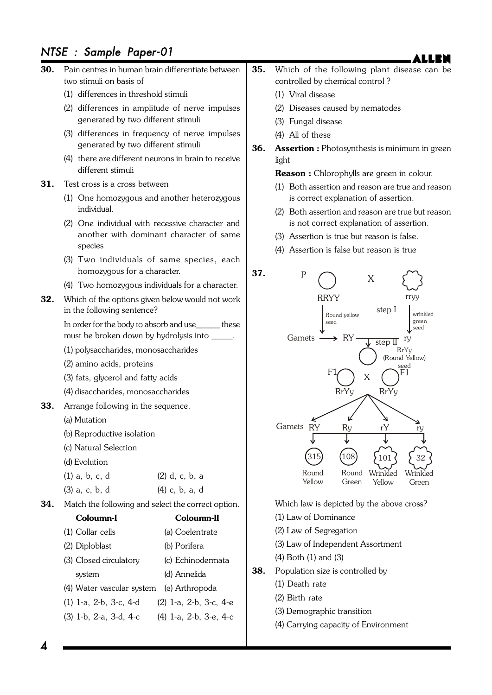### NTSE : Sample Paper-01

|     | <b>NISE : Sample raper-UI</b>        |                                                         |     |                                                                              |
|-----|--------------------------------------|---------------------------------------------------------|-----|------------------------------------------------------------------------------|
| 30. |                                      | Pain centres in human brain differentiate between       | 35. | Which of the following plant disease can be                                  |
|     | two stimuli on basis of              |                                                         |     | controlled by chemical control?                                              |
|     | (1) differences in threshold stimuli |                                                         |     | (1) Viral disease                                                            |
|     |                                      | (2) differences in amplitude of nerve impulses          |     | (2) Diseases caused by nematodes                                             |
|     | generated by two different stimuli   |                                                         |     | (3) Fungal disease                                                           |
|     | generated by two different stimuli   | (3) differences in frequency of nerve impulses          |     | (4) All of these                                                             |
|     |                                      | (4) there are different neurons in brain to receive     | 36. | <b>Assertion</b> : Photosynthesis is minimum in green                        |
|     | different stimuli                    |                                                         |     | light<br><b>Reason</b> : Chlorophylls are green in colour.                   |
| 31. | Test cross is a cross between        |                                                         |     | (1) Both assertion and reason are true and reason                            |
|     |                                      | (1) One homozygous and another heterozygous             |     | is correct explanation of assertion.                                         |
|     | individual.                          |                                                         |     | (2) Both assertion and reason are true but reason                            |
|     |                                      | (2) One individual with recessive character and         |     | is not correct explanation of assertion.                                     |
|     |                                      | another with dominant character of same                 |     | (3) Assertion is true but reason is false.                                   |
|     | species                              |                                                         |     | (4) Assertion is false but reason is true                                    |
|     | homozygous for a character.          | (3) Two individuals of same species, each               |     |                                                                              |
|     |                                      | (4) Two homozygous individuals for a character.         | 37. | $\mathsf{P}$<br>X                                                            |
| 32. |                                      | Which of the options given below would not work         |     | <b>RRYY</b><br>rryy                                                          |
|     | in the following sentence?           |                                                         |     | step I<br>wrinkled<br>Round yellow                                           |
|     |                                      | In order for the body to absorb and use_educedlengthese |     | green<br>seed<br>seed                                                        |
|     |                                      | must be broken down by hydrolysis into _____.           |     | $\rightarrow$ RY<br>Gamets -<br>ry<br>step II                                |
|     | (1) polysaccharides, monosaccharides |                                                         |     | RrYy                                                                         |
|     | (2) amino acids, proteins            |                                                         |     | (Round Yellow)<br>seed                                                       |
|     | (3) fats, glycerol and fatty acids   |                                                         |     | F1<br>X                                                                      |
|     | (4) disaccharides, monosaccharides   |                                                         |     | RrYy<br><b>RrYy</b>                                                          |
| 33. | Arrange following in the sequence.   |                                                         |     |                                                                              |
|     | (a) Mutation                         |                                                         |     | Gamets RY                                                                    |
|     | (b) Reproductive isolation           |                                                         |     | rY<br>Ry<br>ry                                                               |
|     | (c) Natural Selection                |                                                         |     |                                                                              |
|     | (d) Evolution                        |                                                         |     | (108)<br>[315]<br>101<br>32                                                  |
|     | $(1)$ a, b, c, d                     | $(2)$ d, c, b, a                                        |     | Round<br>Round<br>Wrinkled<br>Wrinkled<br>Yellow<br>Green<br>Yellow<br>Green |
|     | $(3)$ a, c, b, d                     | $(4)$ c, b, a, d                                        |     |                                                                              |
| 34. |                                      | Match the following and select the correct option.      |     | Which law is depicted by the above cross?                                    |
|     | Coloumn-I                            | Coloumn-II                                              |     | (1) Law of Dominance                                                         |
|     | (1) Collar cells                     | (a) Coelentrate                                         |     | (2) Law of Segregation                                                       |
|     | (2) Diploblast                       | (b) Porifera                                            |     | (3) Law of Independent Assortment                                            |
|     | (3) Closed circulatory               | (c) Echinodermata                                       |     | $(4)$ Both $(1)$ and $(3)$                                                   |
|     | system                               | (d) Annelida                                            | 38. | Population size is controlled by                                             |
|     | (4) Water vascular system            | (e) Arthropoda                                          |     | (1) Death rate                                                               |
|     | $(1)$ 1-a, 2-b, 3-c, 4-d             | (2) 1-a, 2-b, 3-c, 4-e                                  |     | (2) Birth rate                                                               |
|     | $(3)$ 1-b, 2-a, 3-d, 4-c             | (4) 1-a, 2-b, 3-e, 4-c                                  |     | (3) Demographic transition                                                   |
|     |                                      |                                                         |     | (4) Carrying capacity of Environment                                         |

4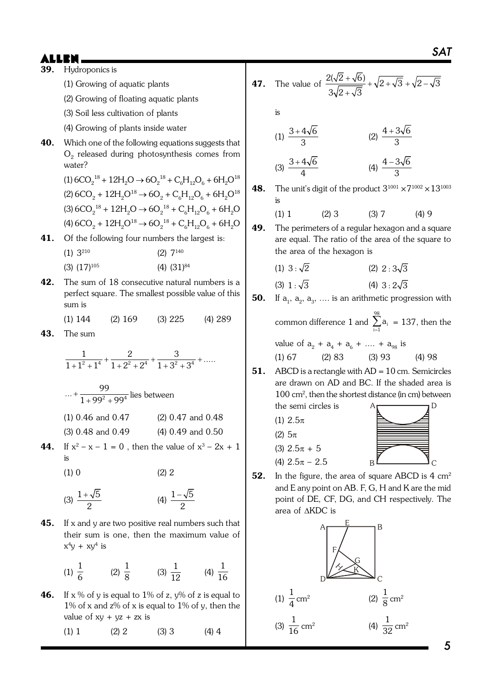- SAT ALLEN 39. Hydroponics is (1) Growing of aquatic plants (2) Growing of floating aquatic plants (3) Soil less cultivation of plants (4) Growing of plants inside water **40.** Which one of the following equations suggests that  $\mathrm{O}_2$  released during photosynthesis comes from water?  $(1)$  6CO<sub>2</sub><sup>18</sup> + 12H<sub>2</sub>O  $\rightarrow$  6O<sub>2</sub><sup>18</sup> + C<sub>6</sub>H<sub>12</sub>O<sub>6</sub> + 6H<sub>2</sub>O<sup>18</sup>  $(2)$  6CO<sub>2</sub> + 12H<sub>2</sub>O<sup>18</sup>  $\rightarrow$  6O<sub>2</sub> + C<sub>6</sub>H<sub>12</sub>O<sub>6</sub> + 6H<sub>2</sub>O<sup>18</sup>  $(3)$  6CO<sub>2</sub><sup>18</sup> + 12H<sub>2</sub>O  $\rightarrow$  6O<sub>2</sub><sup>18</sup> + C<sub>6</sub>H<sub>12</sub>O<sub>6</sub> + 6H<sub>2</sub>O (4)  $6CO_2 + 12H_2O^{18} \rightarrow 6O_2^{18} + C_6H_{12}O_6 + 6H_2O$ **41.** Of the following four numbers the largest is:  $(1)$  3<sup>210</sup>  $(2)$  7<sup>140</sup>  $(3)$   $(17)^{105}$   $(4)$   $(31)^{84}$ **42.** The sum of 18 consecutive natural numbers is a perfect square. The smallest possible value of this sum is (1) 144 (2) 169 (3) 225 (4) 289 43. The sum  $2$   $1^4$   $1^9$   $2^9$   $2^4$   $1^9$   $2^9$  $\frac{1}{2} + \frac{2}{2} + \frac{3}{2} + \frac{3}{2} + \dots$  $1+1^2+1^4$   $1+2^2+2^4$   $1+3^2+3$  $+\frac{2}{1+2}+\frac{6}{1+2}+\frac{6}{1+2}$  $+1^2+1^4$   $1+2^2+2^4$   $1+3^2+$ 2  $\Omega$   $\Omega$ <sup>4</sup>  $... + \frac{99}{123}$  $1 + 99^2 + 99$ +  $\frac{1}{1} + 99^2 + 99^4$  lies between (1) 0.46 and 0.47 (2) 0.47 and 0.48 (3) 0.48 and 0.49 (4) 0.49 and 0.50 **44.** If  $x^2 - x - 1 = 0$ , then the value of  $x^3 - 2x + 1$ is  $(1) 0$   $(2) 2$ (3)  $\frac{1+\sqrt{5}}{2}$ + (4)  $\frac{1-\sqrt{5}}{2}$ - **45.** If x and y are two positive real numbers such that their sum is one, then the maximum value of  $x^4y + xy^4$  is  $3\sqrt{2} + \sqrt{3}$ + is  $(1) \frac{3+4\sqrt{6}}{2}$ 3 +  $(3)$ 4 + is the area of the hexagon is common difference 1 and 98 the semi circles is (1)  $2.5\pi$ (2)  $5\pi$  $(3)$  2.5 $\pi$  + 5 (4)  $2.5\pi - 2.5$ area of  $\triangle KDC$  is  $A \rightarrow B$ E F
	- (1)  $\frac{1}{6}$  $\frac{1}{6}$  (2)  $\frac{1}{8}$  $\frac{1}{8}$  (3)  $\frac{1}{12}$  (4)  $\frac{1}{16}$ 16
	- **46.** If  $x\%$  of y is equal to 1% of z, y% of z is equal to 1% of x and z% of x is equal to 1% of y, then the value of  $xy + yz + zx$  is

(1) 1 (2) 2 (3) 3 (4) 4

**47.** The value of  $\frac{2(\sqrt{2}+\sqrt{6})}{\sqrt{2}+\sqrt{3}}+\sqrt{2}-\sqrt{3}$  $\frac{+\sqrt{6}}{2} + \sqrt{2+\sqrt{3}} + \sqrt{2-\sqrt{3}}$ 

1) 
$$
\frac{3+4\sqrt{6}}{3}
$$
 (2)  $\frac{4+3\sqrt{6}}{3}$ 

$$
(4) \ \frac{3+4\sqrt{6}}{4} \qquad (4) \ \frac{4-3\sqrt{6}}{3}
$$

**48.** The unit's digit of the product  $3^{1001} \times 7^{1002} \times 13^{1003}$ 

$$
(1) 1 \t(2) 3 \t(3) 7 \t(4) 9
$$

49. The perimeters of a regular hexagon and a square are equal. The ratio of the area of the square to

| (1) $3:\sqrt{2}$ | $(2)$ 2:3 $\sqrt{3}$ |
|------------------|----------------------|
| (3) $1:\sqrt{3}$ | (4) $3:2\sqrt{3}$    |

**50.** If  $a_1$ ,  $a_2$ ,  $a_3$ , .... is an arithmetic progression with

 $\sum_{i=1}^{\boldsymbol{\alpha}_i}$ a  $\sum_{i=1} a_i = 137$ , then the value of  $a_2 + a_4 + a_6 + \ldots + a_{98}$  is  $(1) 67$   $(2) 83$   $(3) 93$   $(4) 98$ 

51. ABCD is a rectangle with AD = 10 cm. Semicircles are drawn on AD and BC. If the shaded area is 100 cm<sup>2</sup> , then the shortest distance (in cm) between  $A \fbox{D}$ 



52. In the figure, the area of square ABCD is 4 cm<sup>2</sup> and E any point on AB. F, G, H and K are the mid point of DE, CF, DG, and CH respectively. The

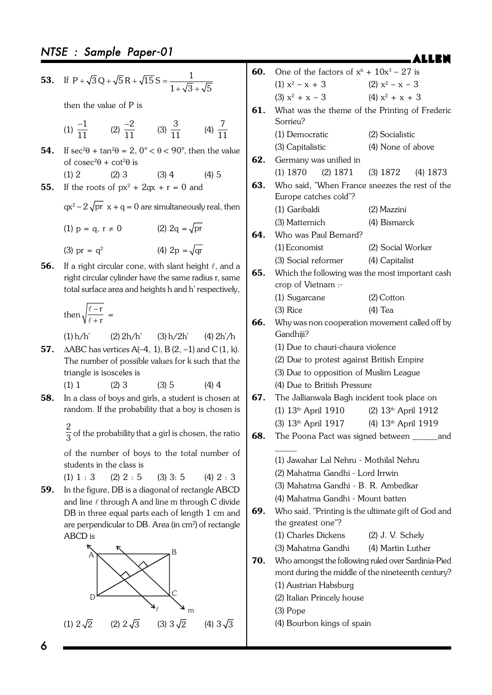**53.** If 
$$
P + \sqrt{3}Q + \sqrt{5}R + \sqrt{15}S = \frac{1}{1 + \sqrt{3} + \sqrt{5}}
$$

then the value of P is

(1) 
$$
\frac{-1}{11}
$$
 (2)  $\frac{-2}{11}$  (3)  $\frac{3}{11}$  (4)  $\frac{7}{11}$ 

- 54. If  $sec^2\theta + tan^2\theta = 2$ ,  $0^\circ < \theta < 90^\circ$ , then the value of  $\csc^2\theta + \cot^2\theta$  is
- (1) 2 (2) 3 (3) 4 (4) 5 **55.** If the roots of  $px^2 + 2qx + r = 0$  and

 $qx^2 - 2\sqrt{pr} \times q = 0$  are simultaneously real, then

(1) p = q, r  $\neq$  0 (2) 2q =  $\sqrt{pr}$ (3) pr =  $q^2$ (4)  $2p = \sqrt{qr}$ 

**56.** If a right circular cone, with slant height  $\ell$ , and a right circular cylinder have the same radius r, same total surface area and heights h and h' respectively,

then 
$$
\sqrt{\frac{\ell-r}{\ell+r}} =
$$

(1) h/h' (2) 2h/h' (3) h/2h' (4) 2h'/h

- **57.**  $\triangle ABC$  has vertices A(-4, 1), B(2, -1) and C(1, k). The number of possible values for k such that the triangle is isosceles is
	- (1) 1 (2) 3 (3) 5 (4) 4
- 58. In a class of boys and girls, a student is chosen at random. If the probability that a boy is chosen is

2  $\frac{1}{3}$  of the probability that a girl is chosen, the ratio

of the number of boys to the total number of students in the class is

(1)  $1 : 3$  (2)  $2 : 5$  (3)  $3 : 5$  (4)  $2 : 3$ 59. In the figure, DB is a diagonal of rectangle ABCD and line  $\ell$  through A and line m through C divide DB in three equal parts each of length 1 cm and are perpendicular to DB. Area (in cm<sup>2</sup>) of rectangle ABCD is



| 60. | One of the factors of $x^6 + 10x^3 - 27$ is                               |                     |  |  |  |
|-----|---------------------------------------------------------------------------|---------------------|--|--|--|
|     | (1) $x^2 - x + 3$ (2) $x^2 - x - 3$                                       |                     |  |  |  |
|     | $(3) x2 + x - 3$                                                          | $(4)$ $x^2 + x + 3$ |  |  |  |
|     | 61. What was the theme of the Printing of Frederic<br>Sorrieu?            |                     |  |  |  |
|     | (1) Democratic                                                            | (2) Socialistic     |  |  |  |
|     | (3) Capitalistic                                                          | (4) None of above   |  |  |  |
|     | 62. Germany was unified in                                                |                     |  |  |  |
|     | $(1) 1870$ $(2) 1871$ $(3) 1872$ $(4) 1873$                               |                     |  |  |  |
| 63. | Who said, "When France sneezes the rest of the                            |                     |  |  |  |
|     | Europe catches cold"?                                                     |                     |  |  |  |
|     | (1) Garibaldi                                                             | (2) Mazzini         |  |  |  |
|     | (3) Matternich                                                            | (4) Bismarck        |  |  |  |
| 64. | Who was Paul Bernard?                                                     |                     |  |  |  |
|     | (1) Economist                                                             | (2) Social Worker   |  |  |  |
|     | (3) Social reformer (4) Capitalist                                        |                     |  |  |  |
| 65. | Which the following was the most important cash                           |                     |  |  |  |
|     | crop of Vietnam :-                                                        |                     |  |  |  |
|     | (1) Sugarcane                                                             | $(2)$ Cotton        |  |  |  |
|     | $(3)$ Rice                                                                | $(4)$ Tea           |  |  |  |
| 66. | Why was non cooperation movement called off by<br>Gandhiji?               |                     |  |  |  |
|     | (1) Due to chauri-chaura violence                                         |                     |  |  |  |
|     | (2) Due to protest against British Empire                                 |                     |  |  |  |
|     | (3) Due to opposition of Muslim League                                    |                     |  |  |  |
|     | (4) Due to British Pressure                                               |                     |  |  |  |
| 67. | The Jallianwala Bagh incident took place on                               |                     |  |  |  |
|     | $(1)$ 13 <sup>th</sup> April 1910 $(2)$ 13 <sup>th</sup> April 1912       |                     |  |  |  |
|     | (3) 13 <sup>th</sup> April 1917 (4) 13 <sup>th</sup> April 1919           |                     |  |  |  |
| 68. | The Poona Pact was signed between ______and                               |                     |  |  |  |
|     | (1) Jawahar Lal Nehru - Mothilal Nehru                                    |                     |  |  |  |
|     | (2) Mahatma Gandhi - Lord Irrwin                                          |                     |  |  |  |
|     | (3) Mahatma Gandhi - B. R. Ambedkar                                       |                     |  |  |  |
|     | (4) Mahatma Gandhi - Mount batten                                         |                     |  |  |  |
| 69. | Who said. "Printing is the ultimate gift of God and<br>the greatest one"? |                     |  |  |  |
|     | (1) Charles Dickens                                                       | (2) J. V. Schely    |  |  |  |
|     | (3) Mahatma Gandhi                                                        | (4) Martin Luther   |  |  |  |
| 70. | Who amongst the following ruled over Sardinia-Pied                        |                     |  |  |  |
|     | mont during the middle of the nineteenth century?                         |                     |  |  |  |
|     | (1) Austrian Habsburg                                                     |                     |  |  |  |
|     | (2) Italian Princely house                                                |                     |  |  |  |
|     | $(3)$ Pope                                                                |                     |  |  |  |
|     | (4) Bourbon kings of spain                                                |                     |  |  |  |
|     |                                                                           |                     |  |  |  |

ALLEN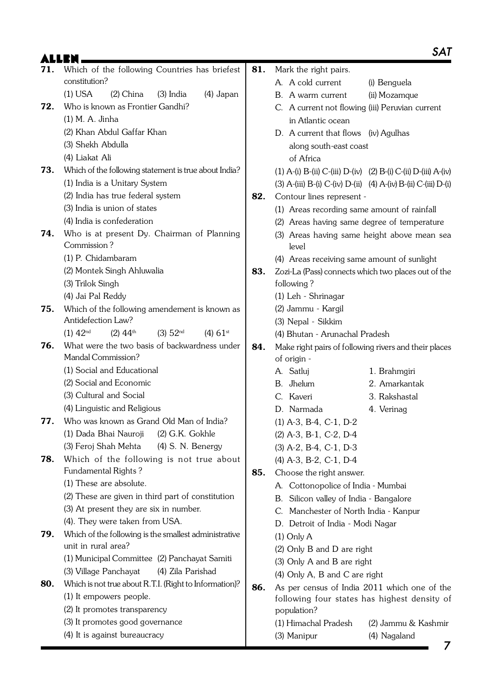|     |                                                                                                    |     |                                                                 | 2AI                 |
|-----|----------------------------------------------------------------------------------------------------|-----|-----------------------------------------------------------------|---------------------|
| 71. | Which of the following Countries has briefest                                                      | 81. | Mark the right pairs.                                           |                     |
|     | constitution?                                                                                      |     | A. A cold current                                               | (i) Benguela        |
|     | $(1)$ USA<br>$(2)$ China<br>$(3)$ India<br>$(4)$ Japan                                             |     | B. A warm current                                               | (ii) Mozamque       |
| 72. | Who is known as Frontier Gandhi?                                                                   |     | C. A current not flowing (iii) Peruvian current                 |                     |
|     | (1) M. A. Jinha                                                                                    |     | in Atlantic ocean                                               |                     |
|     | (2) Khan Abdul Gaffar Khan                                                                         |     | D. A current that flows (iv) Agulhas                            |                     |
|     | (3) Shekh Abdulla                                                                                  |     | along south-east coast                                          |                     |
|     | (4) Liakat Ali                                                                                     |     | of Africa                                                       |                     |
| 73. | Which of the following statement is true about India?                                              |     | (1) A-(i) B-(ii) C-(iii) D-(iv) (2) B-(i) C-(ii) D-(iii) A-(iv) |                     |
|     | (1) India is a Unitary System                                                                      |     | (3) A-(iii) B-(i) C-(iv) D-(ii) (4) A-(iv) B-(ii) C-(iii) D-(i) |                     |
|     | (2) India has true federal system                                                                  | 82. | Contour lines represent -                                       |                     |
|     | (3) India is union of states                                                                       |     | (1) Areas recording same amount of rainfall                     |                     |
|     | (4) India is confederation                                                                         |     | (2) Areas having same degree of temperature                     |                     |
| 74. | Who is at present Dy. Chairman of Planning<br>Commission?                                          |     | (3) Areas having same height above mean sea<br>level            |                     |
|     | (1) P. Chidambaram                                                                                 |     | (4) Areas receiving same amount of sunlight                     |                     |
|     | (2) Montek Singh Ahluwalia                                                                         | 83. | Zozi-La (Pass) connects which two places out of the             |                     |
|     | (3) Trilok Singh                                                                                   |     | following?                                                      |                     |
|     | (4) Jai Pal Reddy                                                                                  |     | (1) Leh - Shrinagar                                             |                     |
| 75. | Which of the following amendement is known as                                                      |     | (2) Jammu - Kargil                                              |                     |
|     | Antidefection Law?                                                                                 |     | (3) Nepal - Sikkim                                              |                     |
|     | $(1)$ 42 <sup>nd</sup><br>$(2)$ 44 <sup>th</sup><br>(3) 52 <sup>nd</sup><br>$(4) 61$ <sup>st</sup> |     | (4) Bhutan - Arunachal Pradesh                                  |                     |
| 76. | What were the two basis of backwardness under                                                      | 84. | Make right pairs of following rivers and their places           |                     |
|     | Mandal Commission?                                                                                 |     | of origin -                                                     |                     |
|     | (1) Social and Educational                                                                         |     | A. Satluj                                                       | 1. Brahmgiri        |
|     | (2) Social and Economic                                                                            |     | B. Jhelum                                                       | 2. Amarkantak       |
|     | (3) Cultural and Social                                                                            |     | C. Kaveri                                                       | 3. Rakshastal       |
|     | (4) Linguistic and Religious                                                                       |     | D. Narmada                                                      | 4. Verinag          |
| 77. | Who was known as Grand Old Man of India?                                                           |     | $(1)$ A-3, B-4, C-1, D-2                                        |                     |
|     | (1) Dada Bhai Nauroji<br>(2) G.K. Gokhle                                                           |     | (2) A-3, B-1, C-2, D-4                                          |                     |
|     | (3) Feroj Shah Mehta<br>(4) S. N. Benergy                                                          |     | $(3)$ A-2, B-4, C-1, D-3                                        |                     |
| 78. | Which of the following is not true about                                                           |     | $(4)$ A-3, B-2, C-1, D-4                                        |                     |
|     | Fundamental Rights?<br>(1) These are absolute.                                                     | 85. | Choose the right answer.                                        |                     |
|     |                                                                                                    |     | A. Cottonopolice of India - Mumbai                              |                     |
|     | (2) These are given in third part of constitution<br>(3) At present they are six in number.        |     | B. Silicon valley of India - Bangalore                          |                     |
|     | (4). They were taken from USA.                                                                     |     | C. Manchester of North India - Kanpur                           |                     |
| 79. | Which of the following is the smallest administrative                                              |     | D. Detroit of India - Modi Nagar                                |                     |
|     | unit in rural area?                                                                                |     | $(1)$ Only A                                                    |                     |
|     | (1) Municipal Committee (2) Panchayat Samiti                                                       |     | (2) Only B and D are right                                      |                     |
|     | (3) Village Panchayat<br>(4) Zila Parishad                                                         |     | (3) Only A and B are right                                      |                     |
| 80. | Which is not true about R.T.I. (Right to Information)?                                             |     | (4) Only A, B and C are right                                   |                     |
|     | (1) It empowers people.                                                                            | 86. | As per census of India 2011 which one of the                    |                     |
|     | (2) It promotes transparency                                                                       |     | following four states has highest density of<br>population?     |                     |
|     | (3) It promotes good governance                                                                    |     | (1) Himachal Pradesh                                            | (2) Jammu & Kashmir |
|     | (4) It is against bureaucracy                                                                      |     | (3) Manipur                                                     | (4) Nagaland        |
|     |                                                                                                    |     |                                                                 |                     |

7